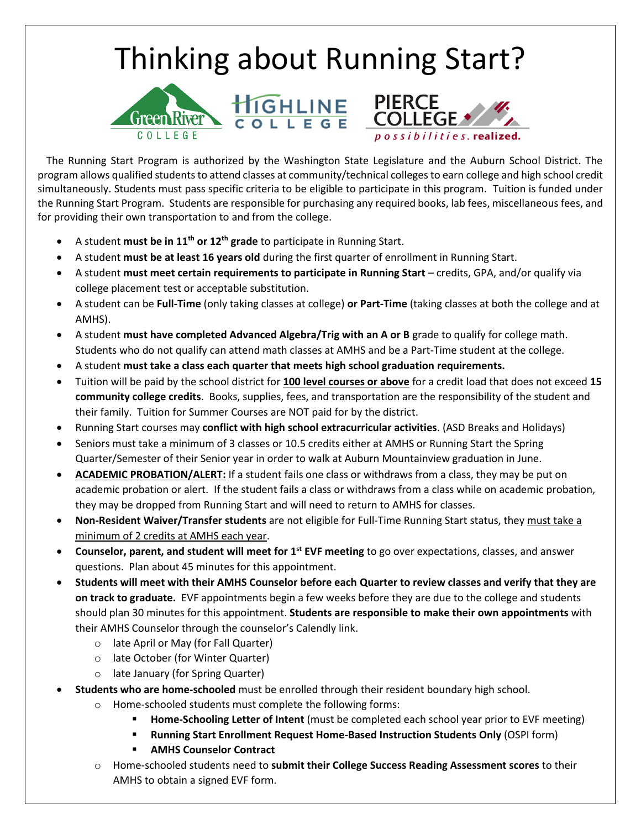## Thinking about Running Start?





The Running Start Program is authorized by the Washington State Legislature and the Auburn School District. The program allows qualified students to attend classes at community/technical colleges to earn college and high school credit simultaneously. Students must pass specific criteria to be eligible to participate in this program. Tuition is funded under the Running Start Program. Students are responsible for purchasing any required books, lab fees, miscellaneous fees, and for providing their own transportation to and from the college.

- A student **must be in 11th or 12th grade** to participate in Running Start.
- A student **must be at least 16 years old** during the first quarter of enrollment in Running Start.
- A student **must meet certain requirements to participate in Running Start** credits, GPA, and/or qualify via college placement test or acceptable substitution.
- A student can be **Full-Time** (only taking classes at college) **or Part-Time** (taking classes at both the college and at AMHS).
- A student **must have completed Advanced Algebra/Trig with an A or B** grade to qualify for college math. Students who do not qualify can attend math classes at AMHS and be a Part-Time student at the college.
- A student **must take a class each quarter that meets high school graduation requirements.**
- Tuition will be paid by the school district for **100 level courses or above** for a credit load that does not exceed **15 community college credits**. Books, supplies, fees, and transportation are the responsibility of the student and their family. Tuition for Summer Courses are NOT paid for by the district.
- Running Start courses may **conflict with high school extracurricular activities**. (ASD Breaks and Holidays)
- Seniors must take a minimum of 3 classes or 10.5 credits either at AMHS or Running Start the Spring Quarter/Semester of their Senior year in order to walk at Auburn Mountainview graduation in June.
- **ACADEMIC PROBATION/ALERT:** If a student fails one class or withdraws from a class, they may be put on academic probation or alert. If the student fails a class or withdraws from a class while on academic probation, they may be dropped from Running Start and will need to return to AMHS for classes.
- **Non-Resident Waiver/Transfer students** are not eligible for Full-Time Running Start status, they must take a minimum of 2 credits at AMHS each year.
- **Counselor, parent, and student will meet for 1st EVF meeting** to go over expectations, classes, and answer questions. Plan about 45 minutes for this appointment.
- **Students will meet with their AMHS Counselor before each Quarter to review classes and verify that they are on track to graduate.** EVF appointments begin a few weeks before they are due to the college and students should plan 30 minutes for this appointment. **Students are responsible to make their own appointments** with their AMHS Counselor through the counselor's Calendly link.
	- o late April or May (for Fall Quarter)
	- o late October (for Winter Quarter)
	- o late January (for Spring Quarter)
- **Students who are home-schooled** must be enrolled through their resident boundary high school.
	- o Home-schooled students must complete the following forms:
		- **Home-Schooling Letter of Intent** (must be completed each school year prior to EVF meeting)
		- **E** Running Start Enrollment Request Home-Based Instruction Students Only (OSPI form)
		- **AMHS Counselor Contract**
		- o Home-schooled students need to **submit their College Success Reading Assessment scores** to their AMHS to obtain a signed EVF form.